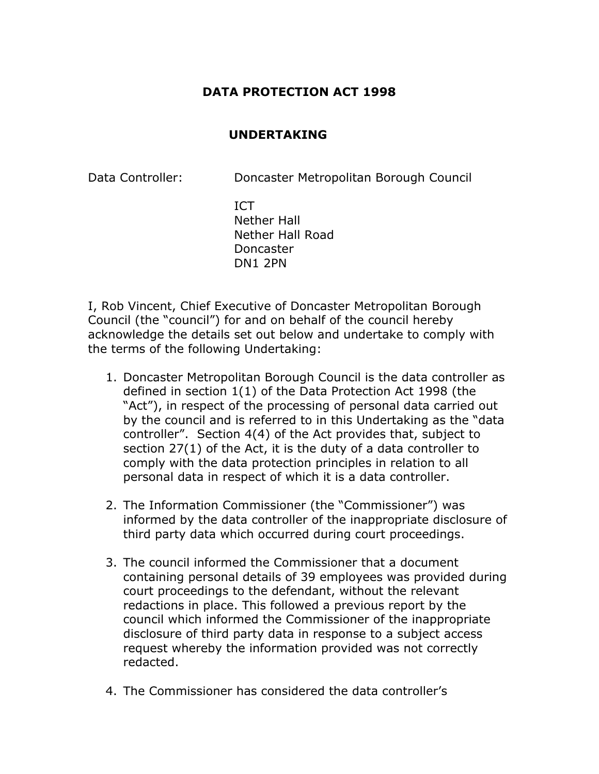## **DATA PROTECTION ACT 1998**

## **UNDERTAKING**

Data Controller: Doncaster Metropolitan Borough Council

ICT Nether Hall Nether Hall Road Doncaster DN1 2PN

I, Rob Vincent, Chief Executive of Doncaster Metropolitan Borough Council (the "council") for and on behalf of the council hereby acknowledge the details set out below and undertake to comply with the terms of the following Undertaking:

- 1. Doncaster Metropolitan Borough Council is the data controller as defined in section 1(1) of the Data Protection Act 1998 (the "Act"), in respect of the processing of personal data carried out by the council and is referred to in this Undertaking as the "data controller". Section 4(4) of the Act provides that, subject to section 27(1) of the Act, it is the duty of a data controller to comply with the data protection principles in relation to all personal data in respect of which it is a data controller.
- 2. The Information Commissioner (the "Commissioner") was informed by the data controller of the inappropriate disclosure of third party data which occurred during court proceedings.
- 3. The council informed the Commissioner that a document containing personal details of 39 employees was provided during court proceedings to the defendant, without the relevant redactions in place. This followed a previous report by the council which informed the Commissioner of the inappropriate disclosure of third party data in response to a subject access request whereby the information provided was not correctly redacted.
- 4. The Commissioner has considered the data controller's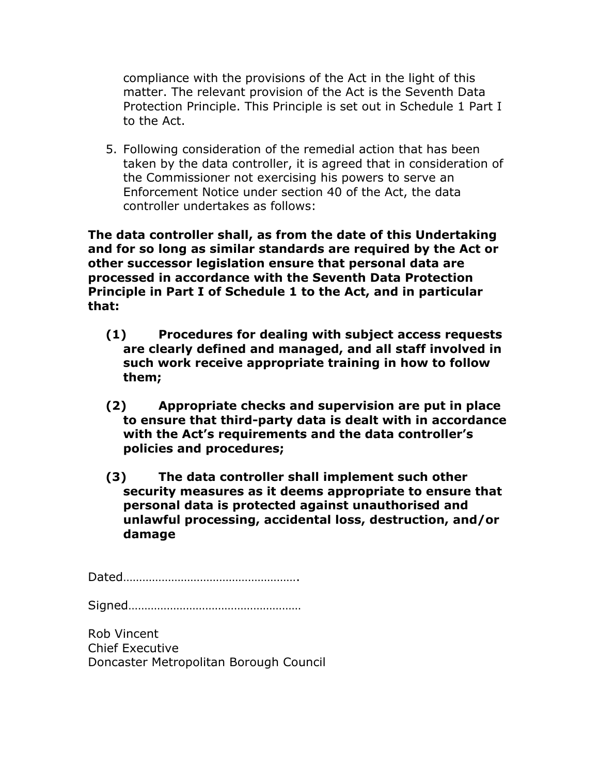compliance with the provisions of the Act in the light of this matter. The relevant provision of the Act is the Seventh Data Protection Principle. This Principle is set out in Schedule 1 Part I to the Act.

5. Following consideration of the remedial action that has been taken by the data controller, it is agreed that in consideration of the Commissioner not exercising his powers to serve an Enforcement Notice under section 40 of the Act, the data controller undertakes as follows:

**The data controller shall, as from the date of this Undertaking and for so long as similar standards are required by the Act or other successor legislation ensure that personal data are processed in accordance with the Seventh Data Protection Principle in Part I of Schedule 1 to the Act, and in particular that:** 

- **(1) Procedures for dealing with subject access requests are clearly defined and managed, and all staff involved in such work receive appropriate training in how to follow them;**
- **(2) Appropriate checks and supervision are put in place to ensure that third-party data is dealt with in accordance with the Act's requirements and the data controller's policies and procedures;**
- **(3) The data controller shall implement such other security measures as it deems appropriate to ensure that personal data is protected against unauthorised and unlawful processing, accidental loss, destruction, and/or damage**

Dated……………………………………………….

Signed………………………………………………

Rob Vincent Chief Executive Doncaster Metropolitan Borough Council